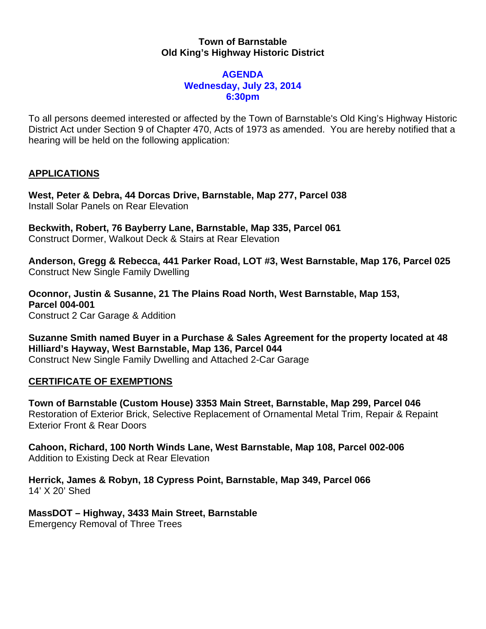## **Town of Barnstable Old King's Highway Historic District**

#### **AGENDA Wednesday, July 23, 2014 6:30pm**

To all persons deemed interested or affected by the Town of Barnstable's Old King's Highway Historic District Act under Section 9 of Chapter 470, Acts of 1973 as amended. You are hereby notified that a hearing will be held on the following application:

# **APPLICATIONS**

**West, Peter & Debra, 44 Dorcas Drive, Barnstable, Map 277, Parcel 038**  Install Solar Panels on Rear Elevation

**Beckwith, Robert, 76 Bayberry Lane, Barnstable, Map 335, Parcel 061**  Construct Dormer, Walkout Deck & Stairs at Rear Elevation

**Anderson, Gregg & Rebecca, 441 Parker Road, LOT #3, West Barnstable, Map 176, Parcel 025**  Construct New Single Family Dwelling

**Oconnor, Justin & Susanne, 21 The Plains Road North, West Barnstable, Map 153, Parcel 004-001**  Construct 2 Car Garage & Addition

**Suzanne Smith named Buyer in a Purchase & Sales Agreement for the property located at 48 Hilliard's Hayway, West Barnstable, Map 136, Parcel 044**  Construct New Single Family Dwelling and Attached 2-Car Garage

## **CERTIFICATE OF EXEMPTIONS**

**Town of Barnstable (Custom House) 3353 Main Street, Barnstable, Map 299, Parcel 046**  Restoration of Exterior Brick, Selective Replacement of Ornamental Metal Trim, Repair & Repaint Exterior Front & Rear Doors

**Cahoon, Richard, 100 North Winds Lane, West Barnstable, Map 108, Parcel 002-006**  Addition to Existing Deck at Rear Elevation

**Herrick, James & Robyn, 18 Cypress Point, Barnstable, Map 349, Parcel 066**  14' X 20' Shed

**MassDOT – Highway, 3433 Main Street, Barnstable**  Emergency Removal of Three Trees